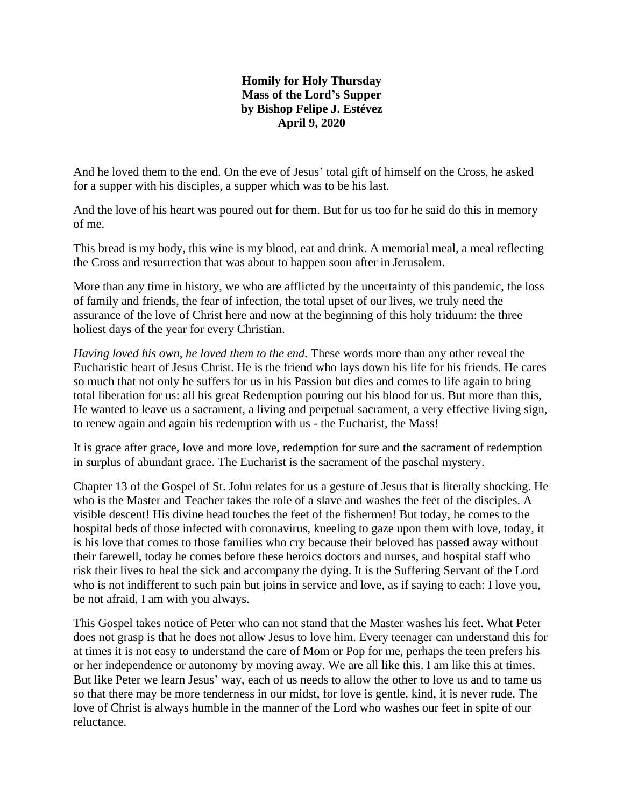## **Homily for Holy Thursday Mass of the Lord's Supper by Bishop Felipe J. Estévez April 9, 2020**

And he loved them to the end. On the eve of Jesus' total gift of himself on the Cross, he asked for a supper with his disciples, a supper which was to be his last.

And the love of his heart was poured out for them. But for us too for he said do this in memory of me.

This bread is my body, this wine is my blood, eat and drink. A memorial meal, a meal reflecting the Cross and resurrection that was about to happen soon after in Jerusalem.

More than any time in history, we who are afflicted by the uncertainty of this pandemic, the loss of family and friends, the fear of infection, the total upset of our lives, we truly need the assurance of the love of Christ here and now at the beginning of this holy triduum: the three holiest days of the year for every Christian.

*Having loved his own, he loved them to the end.* These words more than any other reveal the Eucharistic heart of Jesus Christ. He is the friend who lays down his life for his friends. He cares so much that not only he suffers for us in his Passion but dies and comes to life again to bring total liberation for us: all his great Redemption pouring out his blood for us. But more than this, He wanted to leave us a sacrament, a living and perpetual sacrament, a very effective living sign, to renew again and again his redemption with us - the Eucharist, the Mass!

It is grace after grace, love and more love, redemption for sure and the sacrament of redemption in surplus of abundant grace. The Eucharist is the sacrament of the paschal mystery.

Chapter 13 of the Gospel of St. John relates for us a gesture of Jesus that is literally shocking. He who is the Master and Teacher takes the role of a slave and washes the feet of the disciples. A visible descent! His divine head touches the feet of the fishermen! But today, he comes to the hospital beds of those infected with coronavirus, kneeling to gaze upon them with love, today, it is his love that comes to those families who cry because their beloved has passed away without their farewell, today he comes before these heroics doctors and nurses, and hospital staff who risk their lives to heal the sick and accompany the dying. It is the Suffering Servant of the Lord who is not indifferent to such pain but joins in service and love, as if saying to each: I love you, be not afraid, I am with you always.

This Gospel takes notice of Peter who can not stand that the Master washes his feet. What Peter does not grasp is that he does not allow Jesus to love him. Every teenager can understand this for at times it is not easy to understand the care of Mom or Pop for me, perhaps the teen prefers his or her independence or autonomy by moving away. We are all like this. I am like this at times. But like Peter we learn Jesus' way, each of us needs to allow the other to love us and to tame us so that there may be more tenderness in our midst, for love is gentle, kind, it is never rude. The love of Christ is always humble in the manner of the Lord who washes our feet in spite of our reluctance.